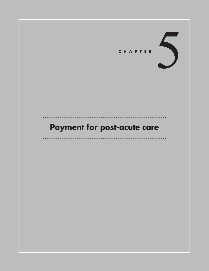

# **Payment for post-acute care**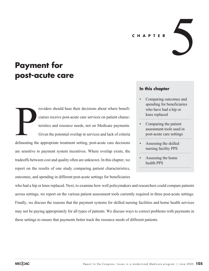#### **CHAPTER**

# **Payment for post-acute care**

roviders should base their decisions about where beneficiaries receive post-acute care services on patient characteristics and resource needs, not on Medicare payments. Given the potential overlap in services and lack of criteria delineating the appropriate treatment setting, post-acute care decisions are sensitive to payment system incentives. Where overlap exists, the tradeoffs between cost and quality often are unknown. In this chapter, we report on the results of one study comparing patient characteristics, outcomes, and spending in different post-acute settings for beneficiaries delineating the

# **In this chapter**

Comparing outcomes and spending for beneficiaries who have had a hip or knee replaced

5

- Comparing the patient assessment tools used in post-acute care settings
- Assessing the skilled nursing facility PPS
- Assessing the home health PPS

who had a hip or knee replaced. Next, to examine how well policymakers and researchers could compare patients across settings, we report on the various patient assessment tools currently required in three post-acute settings. Finally, we discuss the reasons that the payment systems for skilled nursing facilities and home health services may not be paying appropriately for all types of patients. We discuss ways to correct problems with payments in these settings to ensure that payments better track the resource needs of different patients.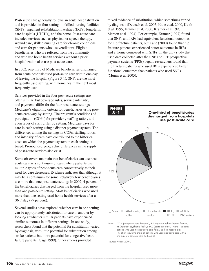Post-acute care generally follows an acute hospitalization and is provided in four settings—skilled nursing facilities (SNFs), inpatient rehabilitation facilities (IRFs), long-term care hospitals (LTCHs), and the home. Post-acute care includes services such as physical or speech therapy, wound care, skilled nursing care for chronic conditions, and care for patients who use ventilators. Eligible beneficiaries who are referred from the community and who use home health services without a prior hospitalization also use post-acute care.

In 2002, one-third of Medicare beneficiaries discharged from acute hospitals used post-acute care within one day of leaving the hospital (Figure 5-1). SNFs are the most frequently used setting, with home health the next most frequently used.

Services provided in the four post-acute settings are often similar, but coverage rules, service intensity, and payments differ for the four post-acute settings. Medicare's eligibility criteria for beneficiaries using postacute care vary by setting. The program's conditions of participation (COPs) for providers, staffing ratios, and even types of staff differ by setting. Medicare pays for care in each setting using a distinct payment system. The differences among the settings in COPs, staffing ratios, and intensity of care have contributed to the historical costs on which the payment system in each setting is based. Pronounced geographic differences in the supply of post-acute services also exist.

Some observers maintain that beneficiaries can use postacute care as a continuum of care, where patients use multiple types of post-acute care consecutively as their need for care decreases. Evidence indicates that although it may be a continuum for some, relatively few beneficiaries use more than one post-acute setting: In 2002, 4 percent of the beneficiaries discharged from the hospital used more than one post-acute setting. Most beneficiaries who used more than one setting used home health services after a SNF stay (97 percent).

Several studies have explored whether care in one setting can be appropriately substituted for care in another by looking at whether similar patients have experienced similar outcomes in different settings. In one study, researchers found that the potential for substitution varied by diagnosis, with little potential for substitution among stroke patients but more potential for congestive heart failure patients (Gage 1999). Other studies provided

mixed evidence of substitution, which sometimes varied by diagnosis (Deutsch et al. 2005, Kane et al. 2000, Keith et al. 1995, Kramer et al. 2000, Kramer et al.1997, Manton et al. 1994). For example, Kramer (1997) found that SNFs and IRFs had equivalent functional outcomes for hip fracture patients, but Kane (2000) found that hip fracture patients experienced better outcomes in IRFs and at home compared with SNFs. In the only study that used data collected after the SNF and IRF prospective payment systems (PPSs) began, researchers found that hip fracture patients who used IRFs experienced better functional outcomes than patients who used SNFs (Munin et al. 2005).



Source: Hogan 2004.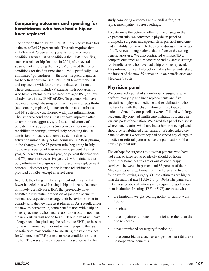# **Comparing outcomes and spending for beneficiaries who have had a hip or knee replaced**

One criterion that distinguishes IRFs from acute hospitals is the so-called 75 percent rule. This rule requires that an IRF admit 75 percent of patients for one or more conditions from a list of conditions that CMS specifies, such as stroke or hip fracture. In 2004, after several years of not enforcing the rule, CMS revised the list of conditions for the first time since 1983. Specifically, CMS eliminated "polyarthritis"—the most frequent diagnosis for beneficiaries who used IRFs in 2002—from the list and replaced it with four arthritis-related conditions. These conditions include (a) patients with polyarthritis who have bilateral joints replaced, are aged 85+, or have a body mass index (BMI) of 50+; (b) patients who have two major weight-bearing joints with severe osteoarthritis (not counting replaced joints); (c) rheumatoid arthritis; and (d) systemic vasculidities with joint inflammation. The last three conditions must not have improved after an appropriate, aggressive, and sustained course of outpatient therapy services (or services in less intensive rehabilitation settings) immediately preceding the IRF admission or must result from a systemic disease activation immediately before admission. CMS is phasing in the changes in the 75 percent rule, beginning in July 2005, over a period of four years—50 percent the first year, 60 percent the second year, 65 percent the third year, and 75 percent in successive years. CMS maintains that polyarthritis—the diagnosis for hip and knee replacement patients—does not require the intense rehabilitation provided by IRFs, except in select cases.

In effect, the change in the 75 percent rule means that fewer beneficiaries with a single hip or knee replacement will likely use IRF care. IRFs that previously have admitted a substantial proportion of joint replacement patients are expected to change their behavior in order to comply with the new rule as it phases in. As a result, under the new 75 percent rule, some beneficiaries with a hip or knee replacement who need rehabilitation but do not meet the new criteria will not go to an IRF but instead will have a longer acute hospital stay, be referred to SNFs, or be sent home with home health or outpatient therapy. Other such beneficiaries may continue to use IRFs; the rule provides for 25 percent of IRF patients to have conditions not on the list. The research we discuss in this section is the first

study comparing outcomes and spending for joint replacement patients across settings.

To determine the potential effect of the change in the 75 percent rule, we convened a physician panel of orthopedic surgeons and specialists in physical medicine and rehabilitation in which they could discuss their views of differences among patients that influence the setting beneficiaries use. We also contracted with RAND to compare outcomes and Medicare spending across settings for beneficiaries who have had a hip or knee replaced. This information can help policymakers better understand the impact of the new 75 percent rule on beneficiaries and Medicare's costs.

# **Physician panel**

We convened a panel of six orthopedic surgeons who perform many hip and knee replacements and five specialists in physical medicine and rehabilitation who are familiar with the rehabilitation of these types of patients. Generally our panelists were affiliated with large academically oriented health care institutions located in various parts of the nation. We asked this panel to discuss where beneficiaries who have had a hip or knee replaced should be rehabilitated after surgery. We also asked the panel to discuss whether they had observed any change in practice or referral patterns since the publication of the new 75 percent rule.

The orthopedic surgeons told us that patients who have had a hip or knee replaced ideally should go home with either home health care or outpatient therapy services—between 50 percent and 85 percent of their Medicare patients go home from the hospital in two to four days following surgery. (These estimates are higher than the national rate [Table 5-1, p. 109].) The panel said that characteristics of patients who require rehabilitation in an institutional setting (IRF or SNF) are those who:

- are limited in weight-bearing ability or cannot walk 100 feet,
- are obese,
- have impairment of one or more joints (other than the one replaced),
- have diminished presurgery functioning,
- have comorbidities, such as congestive heart failure or post-operative dementia,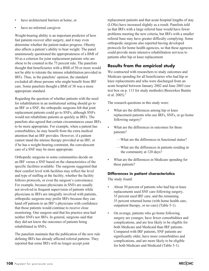- have architectural barriers at home, or
- have no informal caregiver.

Weight-bearing ability is an important predictor of how fast patients recover after surgery, and it may even determine whether the patient makes progress. Obesity also affects a patient's ability to bear weight. The panel unanimously questioned the appropriateness of a BMI of 50 as a criterion for joint replacement patients who are obese to be counted in the 75 percent rule. The panelists thought that beneficiaries with a BMI of 50 or more would not be able to tolerate the intense rehabilitation provided in IRFs. Thus, in the panelists' opinion, the standard excluded all obese persons who might benefit from IRF care. Some panelists thought a BMI of 38 was a more appropriate standard.

Regarding the question of whether patients with the need for rehabilitation in an institutional setting should go to an IRF or a SNF, the orthopedic surgeons felt that joint replacement patients could go to SNFs, although SNFs would not rehabilitate patients as quickly as IRFs. The panelists also agreed that certain circumstances cause IRFs to be more appropriate. For example, when a patient has comorbidities, he may benefit from the extra medical attention that an IRF provides. However, if a patient cannot stand the intense therapy provided at an IRF, or if he has a weight-bearing constraint, the convalescent care of a SNF may be more appropriate.

Orthopedic surgeons in some communities decide on an IRF versus a SNF based on the characteristics of the specific facilities available. The surgeons suggested that their comfort level with facilities may reflect the level and type of staffing at the facility, whether the facility follows protocols, or even the surgeon's convenience. For example, because physicians in SNFs are usually not involved in frequent supervision of patients while physicians in IRFs are integrally involved with patients, orthopedic surgeons may prefer IRFs because they can hand off patients to an IRF's physicians with confidence that those patients would continue to receive close monitoring. One surgeon said that his practice area had neither SNFs nor IRFs. In general, surgeons said that they did not know the outcomes of patients being rehabilitated in SNFs.

The panelists maintain that the publication of the new rule defining IRFs has already affected referral patterns. They reported that some IRFs will no longer accept joint

replacement patients and that acute hospital lengths of stay (LOSs) have increased slightly as a result. Panelists told us that IRFs with a large referral base would have fewer problems meeting the new criteria, but IRFs with a smaller referral base may have greater difficulty complying. Some orthopedic surgeons also reported having developed protocols for home health agencies, so that these agencies could provide more intensive rehabilitation services to patients after hip or knee replacement.

# **Results from the empirical study**

We contracted with researchers to study outcomes and Medicare spending for all beneficiaries who had hip or knee replacements and who were discharged from an acute hospital between January 2002 and June 2003 (see text box on p. 113 for study methods) (Beeuwkes Buntin et al.  $2005$ ).<sup>1</sup>

The research questions in this study were:

- What are the differences among hip or knee replacement patients who use IRFs, SNFs, or go home following surgery?
- What are the differences in outcomes for these patients?
	- —What are the differences in functional status?
	- —What are the differences in patients residing in the community at 120 days?
- What are the differences in Medicare spending for these patients?

# **Differences in patient characteristics**

The study found:

- About 30 percent of patients who had hip or knee replacements used SNF care following surgery, 35 percent used IRF care, and the remaining 35 percent returned home (with home health care, outpatient therapy, or no care) (Table 5-1).
- On average, patients who go home following surgery are younger, have fewer comorbidities and complications, and are less likely to be eligible for both Medicare and Medicaid than IRF patients. Compared with IRF patients, SNF patients are significantly older, have more comorbidities and complications, and are more likely to be eligible for both Medicare and Medicaid (Table 5-1).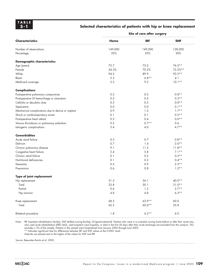#### **Selected characteristics of patients with hip or knee replacement**

|                                                   | Site of care after surgery |            |            |  |
|---------------------------------------------------|----------------------------|------------|------------|--|
| <b>Characteristics</b>                            | Home                       | <b>IRF</b> | <b>SNF</b> |  |
| Number of observations                            | 149,000                    | 149,000    | 128,000    |  |
| Percentage                                        | 35%                        | 35%        | 30%        |  |
| <b>Demographic characteristics</b>                |                            |            |            |  |
| Age (years)                                       | 72.7                       | 75.0       | $76.3**$   |  |
| Female                                            | 54.3%                      | 70.2%      | 72.2%**    |  |
| White                                             | 94.2                       | 89.9       | 93.3**     |  |
| <b>Black</b>                                      | 3.3                        | $6.8**$    | 4.1        |  |
| Medicaid coverage                                 | 5.2                        | 9.2        | $10.1**$   |  |
| <b>Complications</b>                              |                            |            |            |  |
| Postoperative pulmonary compromise                | 0.3                        | 0.5        | $0.8**$    |  |
| Postoperative GI hemorrhage or ulceration         | 0.2                        | 0.2        | $0.3**$    |  |
| Cellulitis or decubitis ulcer                     | 0.3                        | 0.5        | $0.8**$    |  |
| Septicemia                                        | 0.0                        | 0.0        | $0.1**$    |  |
| Mechanical complications due to device or implant | 0.9                        | 1.2        | $1.7**$    |  |
| Shock or cardiorespiratory arrest                 | 0.1                        | 0.1        | $0.2**$    |  |
| Postoperative heart attack                        | 0.3                        | 0.4        | $0.6**$    |  |
| Venous thrombosis or pulmonary embolism           | 0.5                        | $0.7**$    | 0.6        |  |
| latrogenic complications                          | 3.4                        | 4.0        | $4.7**$    |  |
| <b>Comorbidities</b>                              |                            |            |            |  |
| Acute renal failure                               | 0.3                        | 0.7        | $0.8**$    |  |
| Delirium                                          | 0.7                        | 1.4        | $2.0**$    |  |
| Chronic pulmonary disease                         | 9.1                        | 11.2       | $11.8**$   |  |
| Congestive heart failure                          | 3.4                        | 5.8        | $7.1**$    |  |
| Chronic renal failure                             | 0.1                        | 0.2        | $0.2**$    |  |
| Nutritional deficiencies                          | 0.1                        | 0.2        | $0.4**$    |  |
| Dementia                                          | 0.5                        | 0.9        | $2.3**$    |  |
| Pneumonia                                         | 0.6                        | 0.8        | $1.2**$    |  |
| Type of joint replacement                         |                            |            |            |  |
| Hip replacement                                   | 31.2                       | 36.1       | $40.0**$   |  |
| Total                                             | 25.8                       | 30.1       | $31.0**$   |  |
| Partial                                           | 0.6                        | 1.3        | $2.7**$    |  |
| Hip revision                                      | 4.8                        | 4.8        | $6.3**$    |  |
| Knee replacement                                  | 68.5                       | $63.9**$   | 60.0       |  |
| Total                                             | 62.5                       | $60.0**$   | 55.8       |  |
| <b>Bilateral procedure</b>                        | 1.8                        | $6.2**$    | $4.0\,$    |  |

Note: IRF (inpatient rehabilitation facility), SNF (skilled nursing facility), GI (gastrointestinal). Patients who were in a custodial nursing home before or after their acute stay, who used acute rehabilitation (DRG 462), used long-term care hospitals, or died in the first 30 days after their acute discharge are excluded from this analysis. This excludes < 3% of the sample. Patients in the sample were hospitalized from January 2002 through June 2003. \*\* Indicates significant t-test for differences between IRF and SNF values at the 0.0001 level.

Asterisks are placed next to the higher of the values for SNF and IRF.

Source: Beeuwkes Buntin et al. 2005.

MECOAC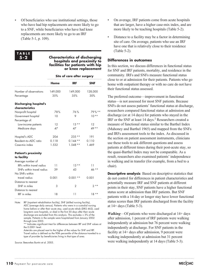• Of beneficiaries who use institutional settings, those who have had hip replacements are more likely to go to a SNF, while beneficiaries who have had knee replacements are more likely to go to an IRF (Table 5-1, p. 109).

#### **TABLE 5-2**

#### **Characteristics of discharging hospitals and proximity to facilities for patients with hip or knee replacement**

|                                                       | Site of care after surgery |                |                |  |
|-------------------------------------------------------|----------------------------|----------------|----------------|--|
|                                                       | Home                       | IRF            | SNF            |  |
| Number of observations<br>Percentage                  | 149,000<br>35%             | 149,000<br>35% | 128,000<br>30% |  |
| <b>Discharging hospital's</b>                         |                            |                |                |  |
| characteristics                                       |                            |                |                |  |
| Nonprofit hospital                                    | 78%                        | 76%            | 79%**          |  |
| Government hospital<br>Percentage of:                 | 10                         | 9              | $10**$         |  |
| Low-income patients                                   | 12                         | $13**$         | 12             |  |
| Medicare days                                         | 47                         | 47             | $49**$         |  |
| Hospital's ADC                                        | 204                        | $235**$        | 191            |  |
| Resident-to-ADC ratio                                 | 0.118                      | $0.144**$      | 0.110          |  |
| Case-mix index                                        | 1.532                      | $1.548**$      | 1.469          |  |
| <b>Patient's proximity</b>                            |                            |                |                |  |
| to facility                                           |                            |                |                |  |
| Average number of<br><b>IREs</b> within travel radius | 11                         | $13**$         | 11             |  |
| SNFs within travel radius                             | 39                         | 43             | $46**$         |  |
| No SNFs within                                        |                            |                |                |  |
| travel radius                                         | 0.001                      | $0.001**$      | 0.001          |  |
| Distance to nearest                                   |                            |                |                |  |
| SNF in miles                                          | 3                          | 2              | $2**$          |  |
| Distance to nearest                                   |                            |                |                |  |
| IRF in miles                                          | 18                         | 11             | $18**$         |  |

Note: IRF (inpatient rehabilitation facility), SNF (skilled nursing facility), ADC (average daily census). Patients who were in a custodial nursing home before or after their acute stay, used acute rehab (DRG 462), used long-term care hospitals, or died in the first 30 days after their acute discharge are excluded from this analysis. This excludes < 3% of the sample. Patients in the sample were hospitalized from January 2002 through June 2003.

\*\* Indicates significant t-test for differences between IRF and SNF values at the 0.0001 level.

Asterisks are placed next to the higher of the values for SNF and IRF. Travel radius is defined as the 90th percentile of the distance traveled to a type of provider by beneficiaries living in that type of area.

Source: Beeuwkes Buntin et al. 2005.

- On average, IRF patients come from acute hospitals that are larger, have a higher case-mix index, and are more likely to be teaching hospitals (Table 5-2).
- Distance to a facility may be a factor in determining site of care. On average, patients who use an IRF have one that is relatively close to their residence (Table 5-2).

#### **Differences in outcomes**

In this section, we discuss differences in functional status for SNF and IRF patients, mortality, and residence in the community. IRFs and SNFs measure functional status close to or at admission for their patients. Patients who go home with outpatient therapy or with no care do not have their functional status assessed.

The preferred outcome—improvement in functional status—is not assessed for most SNF patients. Because SNFs do not assess patients' functional status at discharge, researchers compared functional status at admission and discharge (or at 14 days) for patients who stayed in the IRF or the SNF at least 14 days.<sup>2</sup> Researchers created a measure of functional status similar to the Barthel Index (Mahoney and Barthel 1965) and mapped from the SNFs and IRFs assessment tools to the index. As discussed in the section on patient assessment instruments, clinicians use these tools to ask different questions and assess patients at different times during their post-acute stay, so the quasi-Barthel Index may not be comparable. As a result, researchers also examined patients' independence in walking and in transfer (for example, from a bed to a chair).

**Descriptive analysis** Based on descriptive statistics that do not control for differences in patient characteristics and potentially measure IRF and SNF patients at different points in their stay, SNF patients have a higher functional status score at admission than IRF patients. But SNF patients with a 14-day or longer stay have lower functional status scores than IRF patients discharged from the facility at 14+ days (Table 5-3).

*Walking*—Of patients who were discharged at 14+ days after admission, 1 percent of IRF patients were walking independently at admission but 76 percent were walking independently at discharge. For SNF patients in the facility at 14+ days after admission, 9 percent were walking independently at admission but 31 percent were walking independently at 14 days (Table 5-3).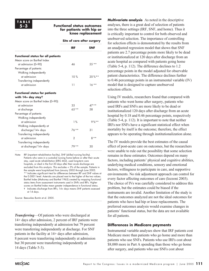#### **Functional status outcomes for patients with hip or knee replacement**

**Site of care after surgery**

|                                           | IRF           | SNF        |
|-------------------------------------------|---------------|------------|
| <b>Functional status for all patients</b> |               |            |
| Mean score on Barthel Index               |               |            |
| at admission (0-90)                       | 46            | $55**$     |
| Percentage of patients:                   |               |            |
| Walking independently                     |               |            |
| at admission                              | 10%           | $20 \%$ ** |
| Transferring independently                |               |            |
| at admission                              | 11            | $16***$    |
| <b>Functional status for patients</b>     |               |            |
| with 14+ day stayt                        |               |            |
| Mean score on Barthel Index (0-90):       |               |            |
| at admission                              | 35            | 47 * *     |
| at discharge                              | $65**$        | .58        |
| Percentage of patients:                   |               |            |
| Walking independently                     |               |            |
| at admission                              | 1%            | $9\%**$    |
| Walking independently at                  |               |            |
| discharge/14+ days                        | $76***$       | 31         |
| Transferring independently                |               |            |
| at admission                              | $\mathcal{P}$ | $8**$      |
| Transferring independently                |               |            |
| at discharge/14+ days                     | 79**          | 30         |
|                                           |               |            |

Note: IRF (inpatient rehabilitation facility), SNF (skilled nursing facility). Patients who were in a custodial nursing home before or after their acute stay, used acute rehabilitation (DRG 462), used long-term care hospitals, or died in the first 30 days after their acute discharge are excluded from this analysis. This excludes < 3% of the sample. Patients in the sample were hospitalized from January 2002 through June 2003. \*\* Indicates significant t-test for differences between IRF and SNF values at the 0.0001 level. Asterisks are placed next to the higher of the two values. Barthel Index (Mahoney and Barthel 1965) created by mapping functional status items from assessment instruments used in SNFs and IRFs. Higher scores on Barthel Index mean greater independence in functional status. ✝ Indicates discharge from IRFs; 14+ days means SNF patients assessed

at 14 days.

Source: Beeuwkes Buntin et al. 2005.

*Transferring*—Of patients who were discharged at 14+ days after admission, 2 percent of IRF patients were transferring independently at admission but 79 percent were transferring independently at discharge. For SNF patients in the facility at 14+ days after admission, 8 percent were transferring independently at admission but 30 percent were transferring independently at 14 days (Table 5-3).

**Multivariate analysis** As noted in the descriptive analyses, there is a great deal of selection of patients into the three settings (IRF, SNF, and home). Thus it is critically important to control for both observed and unobserved selection. The importance of controlling for selection effects is demonstrated by the results from an unadjusted regression model that shows that SNF patients are 2.7 percentage points more likely to be dead or institutionalized at 120 days after discharge from an acute hospital as compared with patients going home (Table 5-4, p. 112). The difference declines to 1.2 percentage points in the model adjusted for observable patient characteristics. The difference declines further to 0.46 percentage points in an instrumental variable (IV) model that is designed to capture unobserved selection effects.

Using IV models, researchers found that compared with patients who went home after surgery, patients who used IRFs and SNFs are more likely to be dead or institutionalized 120 days after discharge from an acute hospital by 0.18 and 0.46 percentage points, respectively (Table 5-4, p. 112). It is important to note that neither IRFs nor SNFs have a significant statistical effect when mortality by itself is the outcome; therefore, the effect appears to be operating through institutionalization alone.

The IV models provide the best estimates of the causal effect of post-acute care on outcomes, but the researchers were unable to rule out the possibility that some selection remains in these estimates. Outcomes depend on many factors, including patients' physical and cognitive abilities, underlying medical conditions, sensory and emotional factors, willingness to participate in care, and supportive environments. No risk adjustment approach can control for every factor affecting outcomes of care (Iezzoni 2003). The choice of IVs was carefully considered to address this problem, but the estimates could be biased if the instruments are invalid. Another limitation of the study is that the outcomes analyzed are not the ideal outcomes for patients who have had hip or knee replacements. The preferred outcomes analysis would examine changes in patients' functional status, but the data are not available for all patients.

#### **Differences in Medicare payments**

Instrumental variable analyses show that IRF patients cost Medicare more than patients who go home and more than patients who use SNFs. Patients who use IRFs cost about \$8,000 more in Part A spending than those who go home after surgery, and patients who use SNFs cost about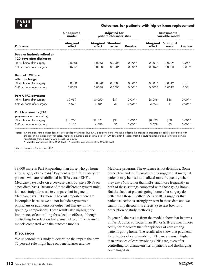#### **Outcomes for patients with hip or knee replacement**

|                              | <b>Unadjusted</b><br>model | <b>Adjusted for</b><br>patient characteristics |                   | Instrumental<br>variable model |                    |                          |          |
|------------------------------|----------------------------|------------------------------------------------|-------------------|--------------------------------|--------------------|--------------------------|----------|
| Outcome                      | Marginal<br>effect         | Marginal<br>effect                             | Standard<br>error | <b>P-value</b>                 | Marginal<br>effect | <b>Standard</b><br>error | P-value  |
| Dead or institutionalized at |                            |                                                |                   |                                |                    |                          |          |
| 120 days after discharge     |                            |                                                |                   |                                |                    |                          |          |
| IRF vs. home after surgery   | 0.0058                     | 0.0043                                         | 0.0004            | $0.00**$                       | 0.0018             | 0.0009                   | $0.04*$  |
| SNF vs. home after surgery   | 0.0267                     | 0.0120                                         | 0.0005            | $0.00**$                       | 0.0046             | 0.0008                   | $0.00**$ |
| Dead at 120 days             |                            |                                                |                   |                                |                    |                          |          |
| after discharge              |                            |                                                |                   |                                |                    |                          |          |
| IRF vs. home after surgery   | 0.0030                     | 0.0020                                         | 0.0003            | $0.00**$                       | 0.0016             | 0.0012                   | 0.18     |
| SNF vs. home after surgery   | 0.0089                     | 0.0038                                         | 0.0003            | $0.00**$                       | 0.0023             | 0.0012                   | 0.06     |
| <b>Part A PAC payments</b>   |                            |                                                |                   |                                |                    |                          |          |
| IRF vs. home after surgery   | \$9,959                    | \$9,050                                        | \$31              | $0.00**$                       | \$8,298            | \$68                     | $0.00**$ |
| SNF vs. home after surgery   | 6,028                      | 4,685                                          | 33                | $0.00**$                       | 3,704              | 61                       | $0.00**$ |
| <b>Part A payments (PAC</b>  |                            |                                                |                   |                                |                    |                          |          |
| payments + acute stay)       |                            |                                                |                   |                                |                    |                          |          |
| IRF vs. home after surgery   | \$10,204                   | \$8,871                                        | \$33              | $0.00**$                       | \$8,023            | \$70                     | $0.00**$ |
| SNF vs. home after surgery   | 6,116                      | 4,590                                          | 35                | $0.00**$                       | 3,578              | 63                       | $0.00**$ |

Notes: IRF (inpatient rehabilitation facility), SNF (skilled nursing facility), PAC (post-acute care). Marginal effect is the change in predicted probability associated with changes in the explanatory variables. Post-acute payments are accumulated for 120 days after discharge from the acute hospital. Patients in the sample were hospitalized from January 2002 through June 2003.

\* Indicates significance at the 0.05 level. \*\* Indicates significance at the 0.0001 level.

Source: Beeuwkes Buntin et al. 2005.

\$3,600 more in Part A spending than those who go home after surgery (Table  $5-4$ ).<sup>3</sup> Payment rates differ widely for patients who are rehabilitated in IRFs versus SNFs. Medicare pays IRFs on a per-case basis but pays SNFs on a per-diem basis. Because of these different payment units, it is not straightforward to compare, but in general, Medicare pays IRFs more. The costs reported here are incomplete because we do not include payments to physicians or payments for outpatient therapy in the spending comparisons. These results also highlight the importance of controlling for selection effects, although controlling for selection had a small effect in the payment models compared with the outcome models.

#### **Discussion**

We undertook this study to determine the impact the new 75 percent rule might have on beneficiaries and the

Medicare program. The evidence is not definitive. Some descriptive and multivariate results suggest that marginal patients may be institutionalized more frequently when they use SNFs rather than IRFs, and more frequently in both of these settings compared with those going home. But the fact that patients going home after surgery do better than those in either SNFs or IRFs suggests that patient selection is strongly present in these data and we cannot fully discount its effects. (See text box for a description of study methods.)

In general, the results from the models show that in terms of Part A costs, episodes in an IRF or SNF are much more costly for Medicare than for episodes of care among patients going home. The results also show that payments for episodes of care involving IRF care are much higher than episodes of care involving SNF care, even after controlling for characteristics of patients and discharging acute hospitals.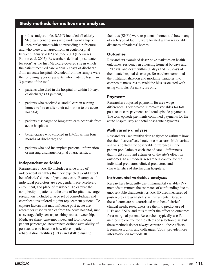# **Study methods for multivariate analyses**

I<br>and n this study sample, RAND included all elderly Medicare beneficiaries who underwent a hip or knee replacement with no preceding hip fracture and who were discharged from an acute hospital between January 2002 and June 2003 (Beeuwkes Buntin et al. 2005). Researchers defined "post-acute location" as the first Medicare-covered site in which the patient received care within 30 days of discharge from an acute hospital. Excluded from the sample were the following types of patients, who made up less than 3 percent of the total:

- patients who died in the hospital or within 30 days of discharge (<1 percent);
- patients who received custodial care in nursing homes before or after their admission to the acute hospital:
- patients discharged to long-term care hospitals from acute hospitals;
- beneficiaries who enrolled in HMOs within four months of discharge; and
- patients who had incomplete personal information or missing discharge hospital characteristics.

#### **Independent variables**

Researchers at RAND included a wide array of independent variables that they expected would affect beneficiaries' choice of post-acute care. Examples of individual predictors are age, gender, race, Medicaid enrollment, and place of residence. To capture the complexity of patients at the time of hospital discharge, researchers included a large set of comorbidities and complications tailored to joint replacement patients. To capture factors that may influence post-acute use, researchers used variables from the acute hospital, such as average daily census, teaching status, ownership, Medicare share, case-mix index, and low-income patient percentage. Researchers defined availability of post-acute care based on how close inpatient rehabilitation facilities (IRFs) and skilled nursing

facilities (SNFs) were to patients' homes and how many of each type of facility were located within reasonable distances of patients' homes.

#### **Outcomes**

Researchers examined descriptive statistics on health outcomes: residency in a nursing home at 60 days and 120 days; and death within 60 days and 120 days of their acute hospital discharge. Researchers combined the institutionalization and mortality variables into composite measures to avoid the bias associated with using variables for survivors only.

#### **Payments**

Researchers adjusted payments for area wage differences. They created summary variables for total post-acute care payments and total episode payments. The total episode payments combined payments for the acute hospital stay and total post-acute payments.

#### **Multivariate analyses**

Researchers used multivariate analyses to estimate how the site of care affected outcome measures. Multivariate analysis controls for observable differences in the patient population at each site of care—differences that might confound estimates of the site's effect on outcomes. In all models, researchers control for the individual predictors, clinical predictors, and characteristics of discharging hospitals.

#### **Instrumental variables analyses**

Researchers frequently use instrumental variable (IV) methods to remove the estimates of confounding due to unobservable characteristics. RAND used measures of post-acute care availability as instruments. Because these factors are not correlated with beneficiaries' clinical needs, researchers use them to predict use of IRFs and SNFs, and thus to infer the effect on outcomes for a marginal patient. Researchers typically use IV methods to control for the effects of selection bias, but these methods do not always capture all these effects. Beeuwkes Buntin and colleagues (2005) provide more information on methods.  $\blacksquare$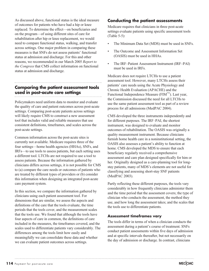As discussed above, functional status is the ideal measure of outcomes for patients who have had a hip or knee replaced. To determine the effect—on beneficiaries and on the program—of using different sites of care for rehabilitation after hip or knee replacement, we would need to compare functional status, walking, and transfer across settings. One major problem in comparing these measures is that SNFs do not assess patients' functional status at admission and discharge. For this and other reasons, we recommended in our March 2005 *Report to the Congress* that CMS collect information on functional status at admission and discharge.

# **Comparing the patient assessment tools used in post-acute care settings**

Policymakers need uniform data to monitor and evaluate the quality of care and patient outcomes across post-acute settings. Comparing post-acute patients across settings will likely require CMS to construct a new assessment tool that includes valid and reliable measures that use consistent definitions, timeframes, and scales across the post-acute settings.

Common information across the post-acute sites is currently not available. Medicare requires three of the four settings—home health agencies (HHAs), SNFs, and IRFs—to use tools to assess patients, but each setting uses a different tool. LTCHs are not required to use a tool to assess patients. Because the information gathered by clinicians differs across settings, it is not possible for CMS to (a) compare the care needs or outcomes of patients who are treated by different types of providers or (b) consider this information when designing an integrated post-acute care payment system.

In this section, we compare the information gathered by clinicians using each patient assessment tool. For dimensions that are similar, we assess the aspects and definitions of the care that the tools evaluate, the time periods that the tools cover, and the measurement scales that the tools use. We found that although the tools have four aspects of care in common, the definitions of care included in the measures, the timeframes covered, and the scales used to differentiate patients vary considerably. The differences among the tools limit how easily and meaningfully we can consolidate these data and whether we can evaluate patient outcomes across settings.

# **Conducting the patient assessments**

Medicare requires that clinicians in three post-acute settings evaluate patients using specific assessment tools (Table 5-5):

- The Minimum Data Set (MDS) must be used in SNFs.
- The Outcome and Assessment Information Set (OASIS) must be used in HHAs.
- The IRF–Patient Assessment Instrument (IRF–PAI) must be used in IRFs.

Medicare does not require LTCHs to use a patient assessment tool. However, many LTCHs assess their patients' care needs using the Acute Physiology and Chronic Health Evaluation (APACHE) and the Functional Independence Measure ( $\text{FIM}^{\text{TM}}$ ). Last year, the Commission discussed the need for all LTCHs to use the same patient assessment tool as part of a review process for all admissions (MedPAC 2004).

CMS developed the three instruments independently and for different purposes. The IRF–PAI, the shortest instrument, was designed to evaluate and monitor outcomes of rehabilitation. The OASIS was originally a quality measurement instrument. Because clinicians furnish home health care in a noninstitutional setting, the OASIS also assesses a patient's ability to function at home. CMS developed the MDS to ensure that each beneficiary regularly received a comprehensive assessment and care plan designed specifically for him or her. Originally designed as a care-planning tool for longstay patients, many of MDS's elements are not useful for classifying and assessing short-stay SNF patients (MedPAC 2003).

Partly reflecting these different purposes, the tools vary considerably in how frequently clinicians administer them and the time period that the assessment covers; the type of clinician who conducts the assessment, the method they use, and how long the assessment takes; and the scales that the tools use to differentiate patients.

#### **Assessment timeframes vary**

The tools differ in terms of when a clinician conducts the assessment during a patient's course of treatment. SNFs conduct patient assessments within five days of admission and at specific intervals thereafter, but not necessarily on the day of admission or discharge. In contrast, clinicians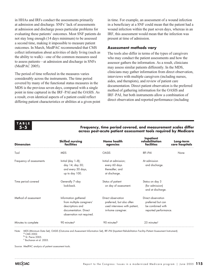in HHAs and IRFs conduct the assessments primarily at admission and discharge. SNFs' lack of assessments at admission and discharge poses particular problems for evaluating these patients' outcomes. Most SNF patients do not stay long enough (14 days minimum) to be assessed a second time, making it impossible to measure patient outcomes. In March, MedPAC recommended that CMS collect information about activities of daily living (such as the ability to walk)—one of the common measures used to assess patients—at admission and discharge in SNFs (MedPAC 2005).

The period of time reflected in the measures varies considerably across the instruments. The time period covered by many of the functional status measures in the MDS is the previous seven days, compared with a single point in time captured in the IRF–PAI and the OASIS. As a result, even identical aspects of a patient could reflect differing patient characteristics or abilities at a given point

in time. For example, an assessment of a wound infection in a beneficiary at a SNF could mean that the patient had a wound infection within the past seven days, whereas in an IRF, this assessment would mean that the infection was present at time of admission.

#### **Assessment methods vary**

The tools also differ in terms of the types of caregivers who may conduct the patient assessments and how the assessor gathers the information. As a result, clinicians may assess similar patients differently. In the MDS, clinicians may gather information from direct observation, interviews with multiple caregivers (including nurses, aides, and therapists), and review of patient care documentation. Direct patient observation is the preferred method of gathering information for the OASIS and IRF–PAI' but both instruments allow a combination of direct observation and reported performance (including

**TABLE 5-5**

# **Inpatient Skilled nursing Home health rehabilitation Long-term Dimension facilities agencies facilities care hospitals** Tool MDS OASIS IRF–PAI None Frequency of assessments Initial (day 1–8); Initial at admission; At admission At admission day 14; day 30; every 60 days and discharge. and every 30 days, thereafter; and up to day 100. at discharge. Time period covered Generally 7–day Status of patient Status on day 3 look-back. on day of assessment. (for admission) and at discharge. Method of assessment Information gathered Direct observation Direct observation from multiple caregivers' preferred, but also often preferred but can descriptions and used interviews with patient, be combined with documentation. Direct in-home caregiver. The reported performance. observation not required. Minutes to complete  $90$  minutes<sup>a</sup> 90 minutes<sup>n</sup> 90 minutes<sup>b</sup> 25 minutes<sup>c</sup>

**Frequency, time period covered, and measurement scales differ across post-acute patient assessment tools required by Medicare**

Note: MDS (Minimum Data Set), OASIS (Outcome and Assessment Information Set), IRF–PAI (Inpatient Rehabilitation Facility–Patient Assessment Instrument).<br><sup>a</sup> CMS 2002.

<sup>b</sup> St. Pierre 2005.

<sup>c</sup> Buchanan et al. 2003.

Source: MedPAC analysis of patient assessment tools.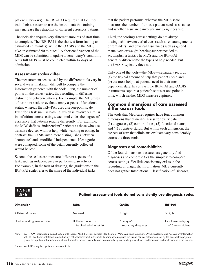patient interviews). The IRF–PAI requires that facilities train their assessors to use the instrument; this training may increase the reliability of different assessors' ratings.

The tools also require very different amounts of staff time to complete. The IRF–PAI is the shortest form (taking an estimated 25 minutes), while the OASIS and the MDS take an estimated 90 minutes.<sup>4</sup> A shortened version of the MDS can be submitted to update a beneficiary's condition, but a full MDS must be completed within 14 days of admission.

#### **Assessment scales differ**

The measurement scales used by the different tools vary in several ways, making it difficult to compare the information gathered with the tools. First, the number of points on the scales varies, thus resulting in differing distinctions between patients. For example, the MDS uses a four-point scale to evaluate many aspects of functional status, whereas the IRF–PAI uses a seven-point scale. Even for a task such as bathing, which is relatively similar in definition across settings, each tool codes the degree of assistance that patients require differently. For example, the MDS defines "independent" patients as those who use assistive devices without help while walking or eating. In contrast, the OASIS instrument distinguishes between "complete" and "modified" independence. If categories were collapsed, some of the detail currently collected would be lost.

Second, the scales can measure different aspects of a task, such as independence in performing an activity. For example, in the task of dressing, the gradations in the IRF–PAI scale refer to the share of the individual tasks

that the patient performs, whereas the MDS scale measures the number of times a patient needs assistance and whether assistance involves any weight bearing.

Third, the scorings across settings do not always distinguish between verbal cues (such as encouragements or reminders) and physical assistance (such as guided maneuvers or weight-bearing support needed to accomplish a task). The MDS and the IRF–PAI generally differentiate the types of help needed, but the OASIS typically does not.

Only one of the tools—the MDS—separately records (a) the typical amount of help that patients need and (b) the most help that patients need in their most dependent state. In contrast, the IRF–PAI and OASIS instruments capture a patient's status at one point in time, which neither MDS measure captures.

# **Common dimensions of care assessed differ across tools**

The tools that Medicare requires have four common dimensions that clinicians assess for every patient: (1) diagnoses, (2) comorbidities, (3) functional status, and (4) cognitive status. But within each dimension, the aspects of care that clinicians evaluate vary considerably across the three tools.

# **Diagnoses and comorbidities**

Of the four dimensions, researchers generally find diagnoses and comorbidities the simplest to compare across settings. Yet little consistency exists in the recording of diagnostic information. MDS currently does not gather International Classification of Diseases,

**TABLE 5-6**

# **Patient assessment tools do not consistently use diagnosis codes**

| <b>Dimension</b>             | <b>MDS</b>                                       | <b>OASIS</b>                        | <b>IRF-PAI</b>                           |
|------------------------------|--------------------------------------------------|-------------------------------------|------------------------------------------|
| ICD-9-CM codes               | Not used                                         | 3 digits                            | 5 digits                                 |
| Number of diagnoses reported | Unlimited items can<br>be checked off a set list | Primary $+5$<br>secondary diagnoses | Impairment category<br>+10 comorbidities |

Note: ICD–9–CM (International Classification of Diseases, Ninth Revision, Clinical Modification), MDS (Minimum Data Set), OASIS (Outcome and Assessment Information Set), IRF–PAI (Inpatient Rehabilitation Facility–Patient Assessment Instrument). Impairment categories are broad clinical categories used by the prospective payment system for inpatient rehabilitation facilities. Examples include traumatic and nontraumatic spinal cord injuries, stroke, and traumatic and nontraumatic brain injuries.

Source: MedPAC analysis of patient assessment tools.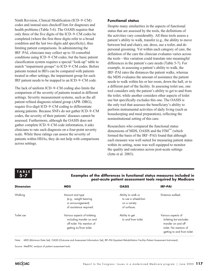Ninth Revision, Clinical Modification (ICD–9–CM) codes and instead uses checkoff lists for diagnoses and health problems (Table 5-6). The OASIS requires that only three of the five digits of the ICD–9–CM codes be completed (where the first three digits refer to a broad condition and the last two digits add specificity), thus limiting patient comparisons. In administering the IRF–PAI, clinicians may collect up to 10 comorbid conditions using ICD–9–CM codes, but the basic patient classification system requires a special "look-up" table to match "impairment groups" to ICD–9–CM codes. Before patients treated in IRFs can be compared with patients treated in other settings, the impairment group for each IRF patient needs to be mapped to an ICD–9–CM code.

The lack of uniform ICD–9–CM coding also limits the comparison of the severity of patients treated in different settings. Severity measurement systems, such as the all patient refined diagnosis related group (APR–DRG), require five-digit ICD–9–CM coding to differentiate among patients. Because SNFs do not gather ICD–9–CM codes, the severity of their patients' diseases cannot be assessed. Furthermore, although the OASIS does not gather complete ICD–9–CM code information, it asks clinicians to rate each diagnosis on a four-point severity scale. While these ratings can assess the severity of patients within HHAs, they do not help with comparisons across settings.

## **Functional status**

Despite many similarities in the aspects of functional status that are assessed by the tools, the definitions of the activities vary considerably. All three tools assess a patient's ability to walk, transfer (e.g., the ability to move between bed and chair), eat, dress, use a toilet, and do personal grooming. Yet within each category of care, the definition of the care the clinician evaluates varies across the tools—this variation could translate into meaningful differences in the patient's care needs (Table 5-7). For example, in assessing a patient's ability to walk, the IRF–PAI rates the distances the patient walks, whereas the MDS evaluates the amount of assistance the patient needs to walk within his or her room, down the hall, or to a different part of the facility. In assessing toilet use, one tool considers only the patient's ability to get to and from the toilet, while another considers other aspects of toilet use but specifically excludes this one. The OASIS is the only tool that assesses the beneficiary's ability to perform instrumental activities of daily living (such as housekeeping and meal preparation), reflecting the noninstitutional setting of this care.

Researchers who compared the functional status dimensions of MDS, OASIS and the  $\text{FIM}^{\text{TM}}$  (which formed the basis of the IRF–PAI) found that although each measure was well suited for measuring patient status within its setting, none was well equipped to monitor the quality and outcomes across post-acute settings (Jette et al. 2003).

# **TABLE 5-7**

#### **Examples of the differences in functional status measures included in post-acute patient assessment tools required by Medicare**

| <b>Dimension</b> | <b>MDS</b>                                                                                                        | <b>OASIS</b>                                                              | <b>IRF-PAI</b>                                                                                                              |
|------------------|-------------------------------------------------------------------------------------------------------------------|---------------------------------------------------------------------------|-----------------------------------------------------------------------------------------------------------------------------|
| Walking          | Amount and type<br>(e.g., weight bearing<br>or encouragement)<br>of assistance required.                          | Ability to walk or<br>to use a wheelchair<br>on a variety<br>of surfaces. | Distance walked.                                                                                                            |
| Toilet use       | Various aspects of toileting<br>including transfer on and<br>off toilet. No mention of<br>getting to/from toilet. | Ability to get<br>to and from toilet.                                     | Various aspects of<br>toileting but excludes<br>transfer on and off<br>toilet. No mention of<br>getting to and from toilet. |

Note: MDS (Minimum Data Set), OASIS (Outcome and Assessment Information Set), IRF–PAI (Inpatient Rehabilitation Facility–Patient Assessment Instrument).

Source: MedPAC analysis of patient assessment tools.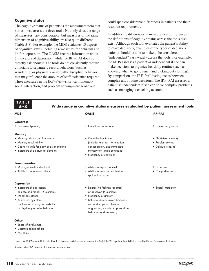#### **Cognitive status**

The cognitive status of patients is the assessment item that varies most across the three tools. Not only does the range of measures vary considerably, but measures of the same dimension of cognitive ability are also quite different (Table 5-8). For example, the MDS evaluates 13 aspects of cognitive status, including 6 measures for delirium and 16 for depression. The OASIS records information about 5 indicators of depression, while the IRF–PAI does not directly ask about it. The tools do not consistently require clinicians to separately record behaviors (such as wandering, or physically or verbally disruptive behavior) that may influence the amount of staff assistance required. Three measures in the IRF–PAI—short-term memory, social interaction, and problem solving—are broad and

could span considerable differences in patients and their resource requirements.

In addition to differences in measurement, differences in the definitions of cognitive status across the tools also exist. Although each tool evaluates the patient's ability to make decisions, examples of the types of decisions patients should be able to make to be considered "independent" vary widely across the tools. For example, the MDS assesses a patient as independent if she can make decisions to organize her daily routine (such as knowing when to go to lunch and picking out clothing). By comparison, the IRF–PAI distinguishes between complex and routine decisions. The IRF–PAI assesses a patient as independent if she can solve complex problems such as managing a checking account.

# **TABLE 5-8**

#### **Wide range in cognitive status measures evaluated by patient assessment tools**

| <b>MDS</b>                                   | <b>OASIS</b>                                        | <b>IRF-PAI</b>       |
|----------------------------------------------|-----------------------------------------------------|----------------------|
| <b>Comatose</b>                              |                                                     |                      |
| • Comatose (yes/no)                          | • Comatose not reported                             | • Comatose (yes/no)  |
| <b>Memory</b>                                |                                                     |                      |
| • Memory: short- and long-term               | • Cognitive functioning                             | • Short-term memory  |
| • Memory recall ability                      | (includes alertness, orientation,                   | • Problem solving    |
| • Cognitive skills for daily decision making | concentration, and immediate                        | • Delirium (yes/no)  |
| • Indicators of delirium (6 elements)        | memory for simple commands)                         |                      |
|                                              | • Frequency of confusion                            |                      |
| Communication                                |                                                     |                      |
| • Making oneself understood                  | • Ability to express oneself                        | • Expression         |
| • Ability to understand others               | • Ability to hear and understand<br>spoken language | • Comprehension      |
| <b>Depression</b>                            |                                                     |                      |
| • Indicators of depression,                  | • Depressive feelings reported                      | • Social interaction |
| anxiety, sad mood (16 elements)              | or observed (5 elements)                            |                      |
| • Mood persistence                           | • Frequency of anxiety                              |                      |
| • Behavioral symptoms                        | · Behavior demonstrated (includes                   |                      |
| (such as wandering, or verbally              | verbal disruption, physical                         |                      |
| or physically abusive behavior)              | aggression, socially inappropriate                  |                      |
|                                              | behavior) and frequency.                            |                      |
| Other                                        |                                                     |                      |
| • Sense of involvement                       |                                                     |                      |
|                                              |                                                     |                      |

- Unsettled relationships
- Past roles

Note: MDS (Minimum Data Set), OASIS (Outcome and Assessment Information Set), IRF–PAI (Inpatient Rehabilitation Facility–Patient Assessment Instrument).

Source: MedPAC analysis of patient assessment tools.

**MECOAC**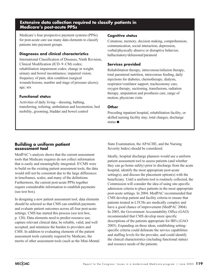# **Extensive data collection required to classify patients in Medicare's post-acute PPSs**

Medicare's four prospective payment systems (PPSs) for post-acute care use many data elements to classify patients into payment groups.

## **Diagnoses and clinical characteristics**

International Classification of Diseases, Ninth Revision, Clinical Modification (ICD–9–CM) codes; rehabilitation impairment codes; change in weight; urinary and bowel incontinence; impaired vision; frequency of pain; skin condition (surgical wounds/lesions, number and stage of pressure ulcers); age; sex

## **Functional status**

Activities of daily living—dressing, bathing, transferring, toileting, ambulation and locomotion, bed mobility, grooming, bladder and bowel control

### **Cognitive status**

Comatose, memory, decision making, comprehension, communication, social interaction, depression, verbal/physically abusive or disruptive behavior, hallucinatory/delusional/paranoid

# **Services provided**

Rehabilitation therapy, intravenous/infusion therapy, total parenteral nutrition, intravenous feeding, daily injections for diabetes, chemotherapy, dialysis, respirator/ventilator support, tracheostomy care, oxygen therapy, suctioning, transfusions, radiation therapy, amputation and prosthesis care, range of motion, physician visits

## **Other**

Preceding inpatient hospital, rehabilitation facility, or skilled nursing facility stay; total charges; discharge status  $\blacksquare$ 

# **Building a uniform patient assessment tool**

MedPAC's analysis shows that the current assessment tools that Medicare requires do not collect information that is easily and meaningfully integrated. If CMS were to build on the existing patient assessment tools, the data would still not be consistent due to the large differences in timeframes, scales, and many of the definitions. Furthermore, the current post-acute PPSs together require considerable information to establish payments (see text box).

In designing a new patient assessment tool, data elements should be selected so that CMS can establish payments and evaluate patient outcomes across all four post-acute settings. CMS has started this process (see text box, p. 120). Data elements need to predict resource use; capture relevant clinical data; be reliable, valid, and well accepted; and minimize the burden to providers and CMS. In addition to evaluating elements of the patient assessment tools currently required by Medicare, the merits of other assessment tools (such as the Mini-Mental State Examination, the APACHE, and the Nursing Severity Index) should be considered.

Ideally, hospital discharge planners would use a uniform patient assessment tool to assess patients (and whether they can go home safely) prior to discharge from the acute hospital, identify the most appropriate post-acute setting(s), and discuss the placement option(s) with the beneficiary. Until a uniform tool is routinely collected, the Commission will consider the idea of using site-specific admission criteria to place patients in the most appropriate post-acute settings. In 2004, MedPAC recommended that CMS develop patient and facility criteria to ensure that patients treated in LTCHs are medically complex and have a good chance of improvement (MedPAC 2004). In 2005, the Government Accountability Office (GAO) recommended that CMS develop more specific descriptions of the patients appropriate for IRFs (GAO 2005). Expanding on these ideas, establishing settingspecific criteria could delineate the service capabilities and staffing levels for the provider, and could identify the clinical characteristics (including functional status) and resource needs of the patients.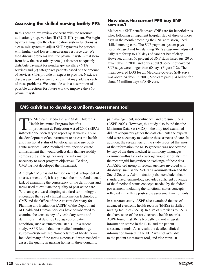# **Assessing the skilled nursing facility PPS**

In this section, we review concerns with the resource utilization group, version III (RUG–III) system. We begin by explaining how the classification system functions as a case-mix system to adjust SNF payments for patients with higher- and lower-than-average resource use. We then discuss problems with the payment system that stem from how the case-mix system (1) does not adequately distribute payment for nontherapy ancillary (NTA) services and (2) categorizes patients based on the amount of services SNFs provide or expect to provide. Next, we discuss payment system concepts that may address each of these problems. We conclude with a description of possible directions for future work to improve the SNF payment system.

# **How does the current PPS buy SNF services?**

Medicare's SNF benefit covers SNF care for beneficiaries who, following an inpatient hospital stay of three or more days in the month preceding the SNF admission, need skilled nursing care. The SNF payment system pays hospital-based and freestanding SNFs a case-mix adjusted daily rate for up to 100 days of care per beneficiary. However, almost 60 percent of SNF stays lasted just 20 or fewer days in 2001, and only about 9 percent of covered SNF stays were longer than 60 days (Figure 5-2). The mean covered LOS for all Medicare-covered SNF stays was about 24 days. In 2003, Medicare paid \$14 billion for about 57 million days of SNF care.

# **CMS activities to develop a uniform assessment tool**

The Medicare, Medicaid, and State Children's Health Insurance Program Benefits Improvement & Protection Act of 2000 (BIPA) instructed the Secretary to report by January 2005 on the development of an instrument to assess the health and functional status of beneficiaries who use postacute services. BIPA required developers to create an instrument that would collect data that are readily comparable and to gather only the information necessary to meet program objectives. To date, CMS has not developed the instrument.

Although CMS has not focused on the development of an assessment tool, it has pursued the more fundamental task of examining the consistency of the definitions and terms used to evaluate the quality of post-acute care. With an eye toward adopting standard terminology to encourage the use of clinical information technology, CMS and the Office of the Assistant Secretary for Planning and Evaluation (ASPE) of the Department of Health and Human Services have collaborated to examine the consistency of vocabulary terms and definitions that describe key aspects of patient condition, such as "functional status." In a recent study, ASPE found that one medical terminology system—Systematized Nomenclature of Medicine included many of the terms experts said were needed to assess the quality in nursing homes in three domains:

pain management, incontinence, and pressure ulcers (ASPE 2003). However, this study also found that the Minimum Data Set (MDS)—the only tool examined did not adequately gather the data elements the experts said were necessary to evaluate these aspects of care. In addition, the researchers of the study reported that most of the information the MDS gathered was not covered by any of the three medical terminology languages examined—this lack of coverage would seriously limit the meaningful integration or exchange of these data. An ASPE-led group of federal agencies involved with disability (such as the Veterans Administration and the Social Security Administration) also concluded that no standardized terminology provided sufficient coverage of the functional status concepts needed by the federal government, including the functional status concepts reflected in the three post-acute assessment instruments.

In a separate study, ASPE also examined the use of advanced electronic health records (EHRs) in skilled nursing facilities (SNFs). In a set of site visits to SNFs that have state-of-the-art electronic health records, ASPE found that SNFs typically did not integrate information stored in the EHR and the patient assessment tools. As a result, the detailed clinical information housed in the EHR was not available to the patient assessment tool, and vice versa.  $\blacksquare$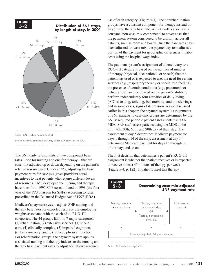

The SNF daily rate consists of two component base rates—one for nursing and one for therapy—that are case-mix adjusted up or down depending on the patient's relative resource use. Under a PPS, adjusting the base payment rates for case mix gives providers equal incentives to treat patients who require different levels of resources. CMS developed the nursing and therapy base rates from 1995 SNF costs inflated to 1998 (the first year of the PPS phase-in for SNFs) according to rules prescribed in the Balanced Budget Act of 1997 (BBA).

Medicare's payment system adjusts SNF nursing and therapy base rates for expected resource use employing weights associated with the each of 44 RUG–III categories. The 44 groups fall into 7 major categories: (1) rehabilitation, (2) extensive services, (3) special care, (4) clinically complex, (5) impaired cognition, (6) behavior only, and (7) reduced physical function. For rehabilitation groups, the payment system applies associated nursing and therapy indexes to the nursing and therapy base payment rates to adjust for relative resource

use of each category (Figure 5-3). The nonrehabilitation groups have a constant component for therapy instead of an adjusted therapy base rate. All RUG–IIIs also have a constant "non-case-mix component" to cover costs that the payment system considered to be uniform across all patients, such as room and board. Once the base rates have been adjusted for case mix, the payment system adjusts a portion of the payment for geographic differences in labor costs using the hospital wage index.

The payment system's assignment of a beneficiary to a RUG–III category is based on the number of minutes of therapy (physical, occupational, or speech) that the patient has used or is expected to use; the need for certain services (e.g., respiratory therapy or specialized feeding); the presence of certain conditions (e.g., pneumonia or dehydration); an index based on the patient's ability to perform independently four activities of daily living (ADLs) (eating, toileting, bed mobility, and transferring); and in some cases, signs of depression. As we discussed earlier in this chapter, the payment system's assignments of SNF patients to case-mix groups are determined by the SNFs' required periodic patient assessments using the MDS. SNF staff assess patients using the MDS at the 5th, 14th, 30th, 60th, and 90th day of their stay. The assessment at day 5 determines Medicare payment for days 1 through 14 of the stay; assessment at day 14 determines Medicare payment for days 15 through 30 of the stay, and so on.

The first decision that determines a patient's RUG–III assignment is whether that patient receives or is expected to receive at least 45 minutes of therapy per week (Figure 5-4, p. 122). If patients meet this therapy

#### **FIGURE 5-3**

#### **Determining case-mix adjusted SNF payment rate**



Note: SNF (skilled nursing facility).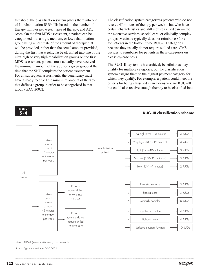threshold, the classification system places them into one of 14 rehabilitation RUG–IIIs based on the number of therapy minutes per week, types of therapy, and ADL score. On the first MDS assessment, a patient can be categorized into a high, medium, or low rehabilitation group using an estimate of the amount of therapy that will be provided, rather than the actual amount provided, during the first two weeks. To be classified into one of the ultra high or very high rehabilitation groups on the first MDS assessment, patients must actually have received the minimum amount of therapy for a given group at the time that the SNF completes the patient assessment. For all subsequent assessments, the beneficiary must have already received the minimum amount of therapy that defines a group in order to be categorized in that group (GAO 2002).

The classification system categorizes patients who do not receive 45 minutes of therapy per week—but who have certain characteristics and still require skilled care—into the extensive services, special care, or clinically complex groups. Medicare typically does not reimburse SNFs for patients in the bottom three RUG–III categories because they usually do not require skilled care. CMS decides to reimburse for patients in these categories on a case-by-case basis.

The RUG–III system is hierarchical; beneficiaries may qualify for multiple categories, but the classification system assigns them to the highest payment category for which they qualify. For example, a patient could meet the criteria for being classified in an extensive-care RUG–III but could also receive enough therapy to be classified into

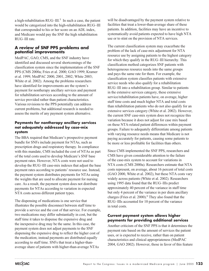a high-rehabilitation  $RUG–III.^5$  In such a case, the patient would be categorized into the high-rehabilitation RUG–III that corresponded to his or her score on an ADL index, and Medicare would pay the SNF the high rehabilitation RUG–III rate.

# **A review of SNF PPS problems and potential improvements**

MedPAC, GAO, CMS, and the SNF industry have identified and discussed several shortcomings of the classification system since the implementation of the SNF PPS (CMS 2000a; Fries et al. 2000; GAO 1999; Kramer et al. 1999; MedPAC 2000, 2001, 2002; White 2003; White et al. 2002). Among the problems researchers have identified for improvements are the system's payment for nontherapy ancillary services and payment for rehabilitation services according to the amount of service provided rather than patient characteristics. Various revisions to the PPS potentially can address current problems, but additional research is needed to assess the merits of any payment system alternative.

## **Payments for nontherapy ancillary services not adequately addressed by case-mix system**

The BBA required that Medicare's prospective payment bundle for SNFs include payment for NTAs, such as prescription drugs and respiratory therapy. In compliance with this mandate, CMS included the cost of NTAs as part of the total costs used to develop Medicare's SNF base payment rates. However, NTA costs were not used to develop the RUG–III case-mix indexes that adjust the base payment rates according to patients' resource use. Instead, the payment system distributes payments for NTAs using the weights that are used to allocate payment for nursing care. As a result, the payment system does not distribute payments for NTAs according to variation in expected NTA costs across different patient types.

The dispensing of medications is one service that illustrates the possible disconnect between staff time to provide a service and the cost of that service. For example, two medications may differ substantially in cost, but the staff time it takes to dispense the expensive drug and the inexpensive drug may be the same. In this case, the payment system does not adjust payments to the SNF dispensing the expensive drug to reflect the higher cost of the medication; instead payments are distributed equally according to staff time. SNFs that treat a higher-thanaverage share of patients with higher-than-average NTAs

will be disadvantaged by the payment system relative to facilities that treat a lower-than-average share of these patients. In addition, facilities may have an incentive to systematically avoid patients expected to have high NTA use or to stint on the provision of NTA services.

The current classification system may exacerbate the problem of the lack of case-mix adjustment for NTA resource use by assigning patients to the highest category for which they qualify in the RUG–III hierarchy. This classification method categorizes SNF patients with heterogeneous resource needs into the same groups and pays the same rate for them. For example, the classification system classifies patients with extensive service needs who also qualify for a rehabilitation RUG–III into a rehabilitation group. Similar to patients in the extensive services category, these extensive service/rehabilitation patients have, on average, higher staff time costs and much higher NTA and total costs than rehabilitation patients who do not also qualify for an extensive services category (White et al. 2002). However, the current SNF case-mix system does not recognize this variation because it does not adjust for case mix based on these NTA-related patient differences within payment groups. Failure to adequately differentiate among patients with varying resource needs means that Medicare is not paying accurately for patients, causing some patients to be more or less profitable for facilities than others.

Since CMS implemented the SNF PPS, researchers and CMS have given considerable attention to the failure of the case-mix system to account for variations in NTA costs (CMS 2000a). Researchers estimate that NTA costs represent, on average, about 16 percent of total costs (GAO 2000, White et al. 2002), but these NTA costs vary widely across patients (White et al. 2002). Researchers using 1995 data found that the RUG–IIIs predict approximately 40 percent of the variance in staff time but only 4 percent of the variance in per diem ancillary charges (Fries et al. 2000).<sup>6</sup> They also found that the RUG–IIIs accounted for 10 percent of the variance in total costs.

# **Current payment system allows higher payments for providing additional services**

Another criticism of the SNF PPS is that it determines the payment rate based on the amount of services the patient uses, or is expected to receive, rather than on patient characteristics and clinical appropriateness (MedPAC 2004, GAO 2002). However, those in favor of this feature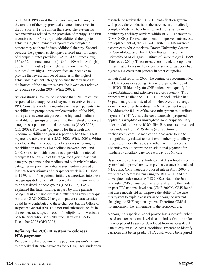of the SNF PPS assert that categorizing and paying for the amount of therapy provided counters incentives in the PPS for SNFs to stint on therapies. The system has two incentives related to the provision of therapy. The first incentive is for SNFs to provide additional therapy to achieve a higher payment category even though the patient may not benefit from additional therapy. Second, because the payment system pays a fixed rate for ranges of therapy minutes provided—45 to 149 minutes (low), 150 to 324 minutes (medium), 325 to 499 minutes (high), 500 to 719 minutes (very high), and more than 720 minutes (ultra high)—providers face an incentive to provide the fewest number of minutes in the highest achievable payment category because therapy times at the bottom of the categories have the lowest cost relative to revenue (Wodchis 2004, White 2003).

Several studies have found evidence that SNFs may have responded to therapy-related payment incentives in the PPS. Consistent with the incentive to classify patients into rehabilitation groups since implementation of the PPS, more patients were categorized into high and medium rehabilitation groups and fewer into the highest and lowest categories at patients' initial assessments (GAO 2002, OIG 2003). Providers' payments for these high and medium rehabilitation groups reportedly had the highest payment relative to costs (GAO 2002, White 2003). White also found that the proportion of residents receiving no rehabilitation therapy also declined between 1997 and 2000. Consistent with incentives to provide minutes of therapy at the low end of the range for a given payment category, patients in the medium and high rehabilitation categories—upon their initial assessment—received at least 30 fewer minutes of therapy per week in 2001 than in 1999; half of the patients initially categorized into these two groups did not actually receive the minimum minutes to be classified in these groups (GAO 2002). GAO explained this latter finding, in part, by more patients being classified using estimated rather than actual therapy minutes (GAO 2002). Changes in patient characteristics could have contributed to these changes, but the Office of Inspector General (OIG) did not find substantial shifts in the gender, race, age, or reason for eligibility of Medicare beneficiaries who used SNFs from January 1999 to December 2002 (OIG 2003).

# **Refining the RUG–III system to address NTA payment**

Recognizing the problem of the payment system's failure to properly distribute payments for NTAs, CMS undertook research "to review the RUG–III classification system with particular emphasis on the care needs of medically complex Medicare beneficiaries and the variation in nontherapy ancillary services within RUG–III categories" (CMS 2000a). To evaluate potential improvements to, but not replacement of, the RUG–III system, CMS awarded a contract to Abt Associates, Brown University Center for Gerontology and Health Care Research, and the University of Michigan's Institute of Gerontology in 1999 (Fries et al. 2000). These researchers found, among other things, that patients in the extensive services category had higher NTA costs than patients in other categories.

In their final report in 2000, the contractors recommended that CMS consider adding 14 new groups to the top of the RUG–III hierarchy for SNF patients who qualify for the rehabilitation and extensive services category. This proposal was called the "RUG–III+ model," which had 58 payment groups instead of 44. However, this change alone did not directly address the NTA payment issue. To address the failure of the case-mix system to distribute payment for NTA costs, the contractors also proposed applying a weighted or unweighted nontherapy ancillary index model to the new RUG–III+. Researchers developed these indexes from MDS items (e.g., suctioning, tracheostomy care, IV medication) that were found to be significantly related to per diem nontherapy ancillary (drug, respiratory therapy, and other ancillaries) costs. The index would determine an additional payment for nontherapy ancillary care for each day of SNF care.

Based on the contractors' findings that this refined case-mix system had improved ability to predict variance in total and NTA costs, CMS issued a proposed rule in April 2000 to refine the case-mix system using the RUG–III+ and the unweighted index model (CMS 2000a). But in the July final rule, CMS announced the results of testing the models on post-PPS national-level data (CMS 2000b). CMS found that these models did not improve the ability of the casemix system to explain cost variance enough to warrant changing the SNF payment system. Therefore, CMS did not implement the refinements in the proposed rule.

Although this specific model proved less successful when tested on later, national-level data, an index that is similar in concept could again be developed from national-level data to explain NTA costs. Additional research to identify variables that better predict NTA costs would be required.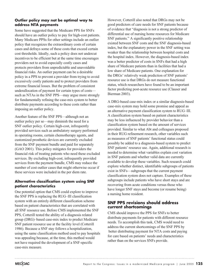# **Outlier policy may not be optimal way to address NTA payments**

Some have suggested that the Medicare PPS for SNFs should have an outlier policy to pay for high-cost patients. Many Medicare PPSs for other settings include an outlier policy that recognizes the extraordinary costs of certain cases and defrays some of these costs that exceed certain cost thresholds. Ideally, such a policy does not undercut incentives to be efficient but at the same time encourages providers not to avoid especially costly cases and protects providers from unpredictable and unavoidable financial risks. An outlier payment can be a desirable policy in a PPS to prevent a provider from trying to avoid excessively costly patients and to protect providers from extreme financial losses. But the problem of consistent underallocation of payment for certain types of costs such as NTAs in the SNF PPS—may argue more strongly for fundamentally refining the case-mix system to better distribute payments according to these costs rather than imposing an outlier policy.

Another feature of the SNF PPS—although not an outlier policy per se—may diminish the need for a SNF outlier policy. Certain high-cost, infrequently provided services such as ambulatory surgery performed in operating rooms, certain chemotherapy agents, and customized prosthetic devices are currently excluded from the SNF payment bundle and paid for separately (GAO 2001). This policy mitigates for providers the financial risk of treating patients who need these excluded services. By excluding high-cost, infrequently provided services from the payment bundle, CMS may reduce the number of cost outlier cases that might otherwise occur if these services were included in the per diem rate.

# **Alternative classification system using SNF patient characteristics**

One potential option that CMS could explore to improve the SNF PPS is replacing the RUG–III classification system with an entirely different classification scheme based on patient characteristics that are correlated with all SNF resource use. Before CMS implemented the SNF PPS, Cotterill tested the ability of a diagnosis related group (DRG)–based case-mix index to predict Medicare SNF patient resource use at the facility level (Cotterill 1986). Because a SNF stay follows a hospitalization, using the same classification method used to pay hospitals was appealing because, at the time, this method would not have required the development of a SNF-specific case-mix measure.

However, Cotterill also noted that DRGs may not be good predictors of care needs for SNF patients because of evidence that "diagnosis is not a strong predictor of differential use of nursing home resources for Medicare SNF patients." A significantly positive relationship existed between SNF costs and the SNF diagnosis-based index, but the explanatory power in the SNF setting was weaker than the relationship between hospital costs and the hospital index. However, the diagnosis-based index was a better predictor of costs in SNFs that had a high share of Medicare patients than in facilities that had a low share of Medicare patients. One explanation for the DRGs' relatively weak prediction of SNF patients' resource use is that DRGs do not measure functional status, which researchers have found to be an important factor predicting post-acute resource use (Clauser and Bierman 2003).

A DRG-based case-mix index or a similar diagnosis-based case-mix system may hold some promise and appeal as an alternative payment classification system to RUG–III. A classification system based on patient characteristics may be less influenced by provider behavior than a classification system based on the amount of services provided. Similar to what Abt and colleagues proposed in their RUG refinement research, other variables such as measures of SNF patients' functional status could possibly be added to a diagnosis-based system to predict SNF patients' resource use. Again, additional research is needed to determine what variables explain cost variation in SNF patients and whether valid data are currently available to develop these variables. Such research could explore whether distinct, identifiable subgroups of patients exist in SNFs—subgroups that the current payment classification system does not capture. Examples of these subgroups include patients who have short stays and are recovering from acute conditions versus those who have longer SNF stays and become (or resume being) a nursing home resident.

# **SNF PPS revisions should address current shortcomings**

CMS should improve the PPS for SNFs to better distribute payments for patients with different resource needs. To accomplish this task, CMS would need to address the current shortcomings of the SNF PPS by better distributing payment for NTA costs and paying for care based on patients' needs and characteristics rather than on the services SNFs provide.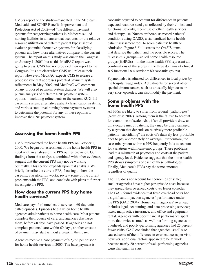CMS's report on the study—mandated in the Medicare, Medicaid, and SCHIP Benefits Improvement and Protection Act of 2002—of "the different payment systems for categorizing patients in Medicare skilled nursing facilities in a manner that accounts for the relative resource utilization of different patient types" should evaluate potential alternative systems for classifying patients and how those alternatives compare to the current system. The report on this study was due to the Congress on January 1, 2005, but as this MedPAC report was going to press, CMS had not provided their report to the Congress. It is not clear when CMS will release their report. However, MedPAC expects CMS to release a proposed rule that addresses potential payment system refinements in May 2005, and MedPAC will comment on any proposed payment system changes. We will also pursue analyses of different SNF payment system options— including refinements to the current RUG–III case-mix system, alternative patient classification systems, and various state-level nursing home payment systems to determine the potential for any of these options to improve the SNF payment system.

# **Assessing the home health PPS**

CMS implemented the home health PPS on October 1, 2000. We began our assessment of the home health PPS in 2004 with an analysis of the PPS outlier provision. Our findings from that analysis, combined with other evidence, suggest that the current PPS may not be working optimally. This section expands upon that analysis. We briefly describe the current PPS, focusing on how the case-mix classification works; review some of the current problems with the PPS; and conclude with plans to further investigate the PPS.

# **How does the current PPS buy home health services?**

Medicare pays for home health service in 60-day units called episodes. Episodes begin when home health agencies admit patients to home health care. Most patients complete their course of care, and agencies discharge them, before 60 days have passed. If agencies do not complete patients' care within 60 days, another episode of payment may start without a break in their care.

Agencies receive a base payment of \$2,268 per episode for home health services in 2005. The base payment is

case-mix adjusted to account for differences in patients' expected resource needs, as reflected by their clinical and functional severity, recent use of other health services, and therapy use. Nurses or therapists record patients' conditions using OASIS, a standardized home health patient assessment tool, to score patients' health on admission. Figure 5-5 illustrates the OASIS items that describe the patient and the possible scores. The 80 case-mix groups—called home health resource groups (HHRGs)—in the home health PPS represent all combinations of the scores in the three domains (4 clinical  $\times$  5 functional  $\times$  4 service = 80 case-mix groups).

Payment also is adjusted for differences in local prices by the hospital wage index. Adjustments for several other special circumstances, such as unusually high costs or very short episodes, can also modify the payment.

## **Some problems with the home health PPS**

All PPSs are likely to suffer from several "pathologies" (Newhouse 2002). Among them is the failure to account for economies of scale. Also, if small providers draw an unfavorable mix of patients, they may be disadvantaged by a system that depends on relatively more profitable patients "subsidizing" the costs of relatively less-profitable ones to pay appropriately on average. Furthermore, the case-mix system within a PPS frequently fails to account for variations within case-mix groups. These problems lead to a mismatch of payments and costs at the patient and agency level. Evidence suggests that the home health PPS shows symptoms of each of these pathologies. Finally, Medicare's PPSs pay the same amounts regardless of quality.

The PPS does not account for economies of scale; smaller agencies have higher per-episode costs because they spread their overhead costs over fewer episodes. The GAO found evidence that fixed overhead costs had a significant impact on agencies' performance under the PPS (GAO 2004). Home health agencies' overhead includes legal, accounting, and data processing services; taxes; malpractice insurance; and office and equipment rental. Agencies with poor financial performance spent more than twice as much as well-performing agencies on overhead, and poorly-performing agencies had 25 percent fewer visits. GAO concluded that agencies' small size caused some of the difference in overhead costs per visit; however, additional factors appeared to be at work because nearly 20 percent of well-performing agencies were also small in size.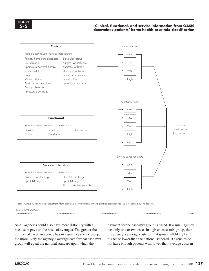#### **Clinical, functional, and service information from OASIS determines patients' home health case-mix classification**



Note: OASIS (Outcome and Assessment Information Set), IV (intravenous), IRF (inpatient rehabilitation facility), SNF (skilled nursing facility).

Source: CMS 2000c.

Small agencies could also have more difficulty with a PPS because it pays on the basis of averages. The greater the number of cases an agency has in a given case-mix group, the more likely the agency's average cost for that case-mix group will equal the national standard upon which the

payment for the case-mix group is based. If a small agency has only one or two cases in a given case-mix group, then the agency's average costs for that group will likely be higher or lower than the national standard. If agencies do not have enough patients with lower-than-average costs in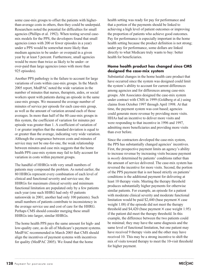some case-mix groups to offset the patients with higherthan-average costs in others, then they could be underpaid. Researchers noted the potential for difficulties for small agencies (Phillips et al. 1992). When testing several casemix models for the PPS, the developers found that small agencies (ones with 200 or fewer episodes in a year) under a PPS would be somewhat more likely than medium agencies to be under- or overpaid in a given year by at least 5 percent. Furthermore, small agencies would be more than twice as likely to be under- or over-paid than large agencies (ones with more than 925 episodes).

Another PPS pathology is the failure to account for large variations of costs within case-mix groups. In the March 2005 report, MedPAC noted the wide variation in the number of minutes that nurses, therapists, aides, or social workers spent with patients during an episode in the same case-mix groups. We measured the average number of minutes of service per episode for each case-mix group, as well as the amount of variation around each of those averages. In more than half of the 80 case-mix groups in this system, the coefficient of variation for minutes per episode was greater than 1. A coefficient of variation of 1 or greater implies that the standard deviation is equal to or greater than the average, indicating very wide variation. Although the congruence between costs and minutes of service may not be one-for-one, the weak relationship between minutes and case mix suggests that the home health PPS case-mix system may fail to fully account for variation in costs within payment groups.

The handful of HHRGs with very small numbers of patients may compound the problem. As noted earlier, the 80 HHRGs represent every combination of each level of clinical and functional severity and service use; the HHRGs for maximum clinical severity and minimum functional limitation are populated only by a few patients each year (one such HHRG had only 45 patients nationwide in 2001; another had only 100 patients). Such small numbers of patients contribute to inconsistency in the average service use and cost of care for the HHRG. Perhaps CMS should consider merging these small HHRGs into larger, similar HHRGs.

The home health PPS pays the same amount for high- and low-quality care, as do all of Medicare's payment systems. MedPAC recommended in March 2005 that CMS should align the incentives of payment systems with incentives for quality (MedPAC 2005). We found that the home

health setting was ready for pay for performance and that a portion of the payments should be linked to achieving a high level of patient outcomes or improving the proportion of patients who achieve good outcomes. Pay for performance is especially important in the home health setting because the product definition is not strong; under pay for performance, some dollars are linked directly to what Medicare truly wants to buy: better health for beneficiaries.

## **Home health product has changed since CMS designed the case-mix system**

Substantial changes in the home health care product that have occurred since the system was designed could limit the system's ability to account for current differences among agencies and for differences among case-mix groups. Abt Associates designed the case-mix system under contract with CMS in 1999 (Goldberg et al.) using claims from October 1997 through April 1998. At that time, the payment system was cost based; agencies could generate more revenue by providing more visits. HHAs had an incentive to deliver more visits and were responding to that incentive in 1996 and 1997, admitting more beneficiaries and providing more visits than ever before.

Since the contractors developed the case-mix system, the PPS has substantially changed agencies' incentives. First, the prospective payment limits an agency's ability to increase revenue by increasing visits because payment is *mostly* determined by patients' conditions rather than the amount of service delivered. The case-mix system has reversed the incentive for more visits. Second, the portion of the PPS payment that is not based strictly on patients' conditions is the additional payment for delivering at least 10 therapy visits. Meeting the therapy threshold produces substantially higher payments for otherwise similar patients. For example, an episode for a patient with moderate clinical severity and moderate functional limitation would be paid  $$2,440$  (base payment  $\times$  case weight 1.08) if the episode did not meet the therapy threshold and \$4,420 (base payment  $\times$  case weight 1.95) if the patient did meet the therapy threshold. In this example, the difference between the two patients could be minimal; they may have the same diagnosis and the same level of functional limitation, but one patient may have received 9 therapy visits and the other may have received 10. This may be a strong incentive to shift the mix of visits toward therapy to meet the 10-visit threshold for higher payment.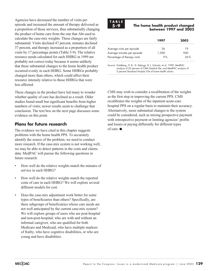Agencies have decreased the number of visits per episode and increased the amount of therapy delivered as a proportion of those services, thus substantially changing the product of home care from the one that Abt used to calculate the case-mix weights. These changes are fairly substantial: Visits declined 47 percent, minutes declined 37 percent, and therapy increased as a proportion of all visits by 17 percentage points (Table 5-9). The relative resource needs calculated for each HHRG in 1999 are probably not correct today because it seems unlikely that these substantial changes to the home health product occurred evenly in each HHRG. Some HHRGs probably changed more than others, which could affect their resource intensity relative to those HHRGs that were less affected.

These changes in the product have led many to wonder whether quality of care has declined as a result. Older studies found small but significant benefits from higher numbers of visits; newer results seem to challenge that conclusion. The text box on the next page discusses some evidence on this point.

# **Plans for future research**

The evidence we have cited in this chapter suggests problems with the home health PPS. To accurately identify the source of the problem, we need to conduct more research. If the case-mix system is not working well, we may be able to detect patterns in the costs and claims data. MedPAC will pursue the following questions in future research:

- How well do the relative weights match the minutes of service in each HHRG?
- How well do the relative weights match the reported costs of care in each HHRG? We will explore several different models for cost.
- Does the case-mix adjustment work better for some types of beneficiaries than others? Specifically, are there subgroups of beneficiaries whose care needs are not well anticipated by the current case-mix system? We will explore groups of users who are post-hospital and non-post-hospital, who are with and without an informal caregiver, who are qualified for both Medicare and Medicaid, who have multiple markers of frailty, who have cognitive disabilities, or who are young and have disabilities.



#### **The home health product changed between 1997 and 2002**

|                              | 1997  | 2002         |
|------------------------------|-------|--------------|
| Average visits per episode   | 36    | 10           |
| Average minutes per episode  | 1.500 | $\lambda$ () |
| Percentage of therapy visits | % ≎   | 26 %         |

Source: Goldberg, H. B., D. Delargy, R. J. Schmitz, et al. 1999; MedPAC analysis of 20 percent of CMS Datalink file; and MedPAC analysis of 5 percent Standard Analytic File of home health claims.

CMS may wish to consider a recalibration of the weights as the first step in improving the current PPS. CMS recalibrates the weights of the inpatient acute-care hospital PPS on a regular basis to maintain their accuracy. Alternatively, more substantial changes to the system could be considered, such as mixing prospective payment with retrospective payment or limiting agencies' profits and losses or paying differently for different types of care.  $\blacksquare$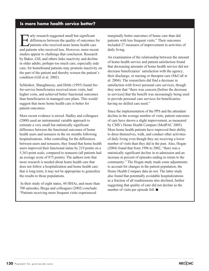# **Is more home health service better?**

Early research suggested small but significant<br>differences between the quality of outcomes<br>patients who received less However more rece differences between the quality of outcomes for patients who received more home health care and patients who received less. However, more recent studies appear to challenge that conclusion. Research by Baker, Gill, and others links inactivity and decline in older adults; perhaps too much care, especially aide care, for homebound patients may promote inactivity on the part of the patient and thereby worsen the patient's condition (Gill et al. 2002).

Schlenker, Shaughnessy, and Hittle (1995) found feefor-service beneficiaries received more visits, had higher costs, and achieved better functional outcomes than beneficiaries in managed care plans. This would suggest that more home health care is better for patient outcomes.

More recent evidence is mixed. Hadley and colleagues (2000) used an instrumental variable approach to estimate a very small but statistically significant difference between the functional outcomes of home health users and nonusers in the six months following hospitalizations. After controlling for the differences between users and nonusers, they found that home health users improved their functional status by 219 points on a 5,363-point scale, compared to nonusers (all patients had an average score of 875 points). The authors note that more research is needed about home health care that does not follow a hospitalization and home health care that is long term; it may not be appropriate to generalize the results to those populations.

In their study of eight states, 44 HHAs, and more than 700 episodes, Brega and colleagues (2002) conclude: "Patients receiving more frequent visits experienced

marginally better outcomes of home care than did patients with less frequent visits." Their outcomes included 27 measures of improvement in activities of daily living.

An examination of the relationship between the amount of home health service and patient satisfaction found that decreasing amounts of home health service did not decrease beneficiaries' satisfaction with the agency, their discharge, or nursing or therapist care (McCall et al. 2004). The researchers did find a decrease in satisfaction with fewer personal care services, though they note that "there was concern [before the decrease in services] that the benefit was increasingly being used to provide personal care services for beneficiaries having no skilled care need."

Since the implementation of the PPS and the attendant decline in the average number of visits, patient outcomes of care have shown a slight improvement, as measured by CMS's Home Health Compare (MedPAC 2005). More home health patients have improved their ability to dress themselves, walk, and conduct other activities of daily living even though they are receiving a lower number of visits than they did in the past. Also, Hogan (2004) found that from 1996 to 2002, "there was a statistically significant decline in re-admission and an increase in percent of episodes ending in return to the community." The Hogan study made some adjustments to account for changes in the patient population; the Home Health Compare data do not. The latter study also found that potentially avoidable hospitalizations as a fraction of all readmissions also declined, further suggesting that quality of care did not decline as the number of visits per episode fell.  $\blacksquare$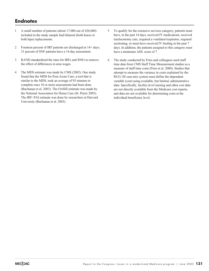# **Endnotes**

- 1 A small number of patients (about 17,000 out of 426,000) included in the study sample had bilateral (both knees or both hips) replacements.
- 2 Fourteen percent of IRF patients are discharged at 14+ days; 31 percent of SNF patients have a 14-day assessment.
- 3 RAND standardized the rates for IRFs and SNFs to remove the effect of differences in area wages.
- 4 The MDS estimate was made by CMS (2002). One study found that the MDS for Post-Acute Care, a tool that is similar to the MDS, took an average of 85 minutes to complete once 10 or more assessments had been done (Buchanan et al. 2003). The OASIS estimate was made by the National Association for Home Care (St. Pierre 2005). The IRF–PAI estimate was done by researchers at Harvard University (Buchanan et al. 2003).
- 5 To qualify for the extensive services category, patients must have, in the past 14 days, received IV medications, received tracheostomy care, required a ventilator/respirator, required suctioning, or must have received IV feeding in the past 7 days. In addition, the patients assigned to this category must have a minimum ADL score of 7.
- 6 The study conducted by Fries and colleagues used staff time data from CMS Staff Time Measurement studies as a measure of staff time costs (Fries et al. 2000). Studies that attempt to measure the variance in costs explained by the RUG–III case-mix system must define the dependent variable (cost) using available, but limited, administrative data. Specifically, facility-level nursing and other cost data are not directly available from the Medicare cost reports, and data are not available for determining costs at the individual beneficiary level.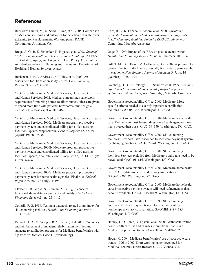# **References**

Beeuwkes Buntin, M., N. Sood, P. Deb, et al. 2005. Comparison of Medicare spending and outcomes for beneficiaries with lower extremity joint replacements. Working paper, RAND Corporation, Arlington, VA.

Brega, A. G., R. E. Schlenker, K. Hijjazzi, et al. 2002. *Study of Medicare home health practice variations: Final report.* Office of Disability, Aging, and Long-Term Care Policy, Office of the Assistant Secretary for Planning and Evaluation, Department of Health and Human Services. August.

Buchanan, J., P. L. Andres, S. M. Haley, et al. 2003. An assessment tool translation study. *Health Care Financing Review* 24, no. 23: 45–60.

Centers for Medicare & Medicaid Services, Department of Health and Human Services. 2002. Medicare streamlines paperwork requirements for nursing homes to allow nurses, other caregivers to spend more time with patients. http://www.cms.hhs.gov/ media/press/release.asp?Counter=462.

Centers for Medicare & Medicaid Services, Department of Health and Human Services. 2000a. Medicare program; prospective payment system and consolidated billing for skilled nursing facilities. Update, proposed rule. *Federal Register* 65, no. 69 (April): 19188–19236.

Centers for Medicare & Medicaid Services, Department of Health and Human Services. 2000b. Medicare program; prospective payment system and consolidated billing for skilled nursing facilities. Update, final rule. *Federal Register* 65, no. 147 (July): 46769–46496.

Centers for Medicare & Medicaid Services, Department of Health and Human Services. 2000c. Medicare program; prospective payment system for home health agencies. Final rule. *Federal Register* 65, no. 128 (July): 41194.

Clauser, S. B., and A. S. Bierman. 2003. Significance of functional status data for payment and quality. *Health Care Financing Review* 24, no. 23: 1–12.

Cotterill, P. G. 1986. Testing a diagnosis-related group index for skilled nursing facilities. *Health Care Financing Review* 7, no. 4: 75–85.

Deutsch, A., C. V. Granger, R. C. Fiedler, et al. 2005. Outcomes and reimbursement of inpatient rehabilitation facilities and subacute rehabilitation programs for Medicare beneficiaries with hip fracture. *Medical Care* 43 (forthcoming).

Fries, B. E., K. Lapane, T. Moore, et al. 2000. *Variation in prescribed medication and other non-therapy ancillary costs in skilled nursing facilities: Potential RUG–III refinements.* Cambridge, MA: Abt Associates.

Gage, B. 1999. Impact of the BBA on post-acute utilization. *Health Care Financing Review* 20, no. 4 (Summer): 103–126.

Gill, T. M., D. I. Baker, M. Gottschalk, et al. 2002. A program to prevent functional decline in physically frail, elderly persons who live at home. *New England Journal of Medicine* 347, no. 14 (October): 1068–1074.

Goldberg, H. B., D. Delargy, R. J. Schmitz, et al. 1999. *Case-mix adjustment for a national home health prospective payment system: Second interim report.* Cambridge, MA: Abt Associates.

Government Accountability Office. 2005. Medicare: More specific criteria needed to classify inpatient rehabilitation facilities. GAO–05–366. Washington, DC: GAO.

Government Accountability Office. 2004. Medicare home health care: Payments to most freestanding home health agencies more than covered their costs. GAO–04–359. Washington, DC: GAO.

Government Accountability Office. 2002. Skilled nursing facilities: Providers have responded to Medicare payment system by changing practices. GAO–02–841. Washington, DC: GAO.

Government Accountability Office. 2001. Skilled nursing facilities: Services excluded from Medicare's daily rate need to be reevaluated. GAO–01–816. Washington, DC: GAO.

Government Accountability Office. 2001. Medicare home health care: OASIS data use, cost, and privacy implications. GAO–01–205. Washington, DC: GAO.

Government Accountability Office. 2000. Medicare home health care: Prospective payment system will need refinement as data become available. GAO/HEHS–00–9. Washington, DC: GAO.

Government Accountability Office. 1999. Skilled nursing facilities: Medicare payments need to better account for nontherapy ancillary cost variation. GAO/HEHS–99–185. Washington, DC: GAO.

Hadley, J., D. Rabin, A. Epstein, et al. 2000. Posthospitalization home health care use and changes in functional status in a Medicare population. *Medical Care* 38, no. 5: 494–507.

Hogan, C. 2004. Medicare beneficiaries' use of post-acute care trends, 1996 to 2002. Draft working paper developed for MedPAC contract, Direct Research, LLC, Vienna, VA.